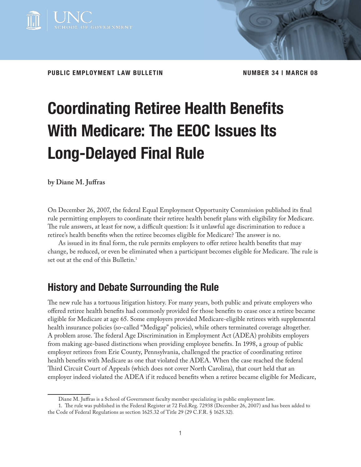

PUBLIC EMPLOYMENT LAW BULLETIN NUMBER 34 | MARCH 08

# **Coordinating Retiree Health Benefits With Medicare: The EEOC Issues Its Long-Delayed Final Rule**

**by Diane M. Juffras**

On December 26, 2007, the federal Equal Employment Opportunity Commission published its final rule permitting employers to coordinate their retiree health benefit plans with eligibility for Medicare. The rule answers, at least for now, a difficult question: Is it unlawful age discrimination to reduce a retiree's health benefits when the retiree becomes eligible for Medicare? The answer is no.

As issued in its final form, the rule permits employers to offer retiree health benefits that may change, be reduced, or even be eliminated when a participant becomes eligible for Medicare. The rule is set out at the end of this Bulletin.<sup>1</sup>

## **History and Debate Surrounding the Rule**

The new rule has a tortuous litigation history. For many years, both public and private employers who offered retiree health benefits had commonly provided for those benefits to cease once a retiree became eligible for Medicare at age 65. Some employers provided Medicare-eligible retirees with supplemental health insurance policies (so-called "Medigap" policies), while others terminated coverage altogether. A problem arose. The federal Age Discrimination in Employment Act (ADEA) prohibits employers from making age-based distinctions when providing employee benefits. In 1998, a group of public employer retirees from Erie County, Pennsylvania, challenged the practice of coordinating retiree health benefits with Medicare as one that violated the ADEA. When the case reached the federal Third Circuit Court of Appeals (which does not cover North Carolina), that court held that an employer indeed violated the ADEA if it reduced benefits when a retiree became eligible for Medicare,

Diane M. Juffras is a School of Government faculty member specializing in public employment law.

<sup>1.</sup> The rule was published in the Federal Register at 72 Fed.Reg. 72938 (December 26, 2007) and has been added to the Code of Federal Regulations as section 1625.32 of Title 29 (29 C.F.R. § 1625.32).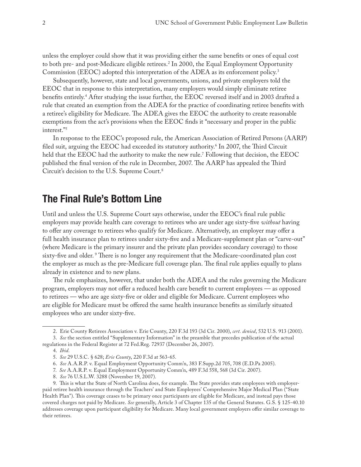unless the employer could show that it was providing either the same benefits or ones of equal cost to both pre- and post-Medicare eligible retirees.<sup>2</sup> In 2000, the Equal Employment Opportunity Commission (EEOC) adopted this interpretation of the ADEA as its enforcement policy.<sup>3</sup>

Subsequently, however, state and local governments, unions, and private employers told the EEOC that in response to this interpretation, many employers would simply eliminate retiree benefits entirely.4 After studying the issue further, the EEOC reversed itself and in 2003 drafted a rule that created an exemption from the ADEA for the practice of coordinating retiree benefits with a retiree's eligibility for Medicare. The ADEA gives the EEOC the authority to create reasonable exemptions from the act's provisions when the EEOC finds it "necessary and proper in the public interest."5

In response to the EEOC's proposed rule, the American Association of Retired Persons (AARP) filed suit, arguing the EEOC had exceeded its statutory authority.<sup>6</sup> In 2007, the Third Circuit held that the EEOC had the authority to make the new rule.7 Following that decision, the EEOC published the final version of the rule in December, 2007. The AARP has appealed the Third Circuit's decision to the U.S. Supreme Court.8

#### **The Final Rule's Bottom Line**

Until and unless the U.S. Supreme Court says otherwise, under the EEOC's final rule public employers may provide health care coverage to retirees who are under age sixty-five *without* having to offer any coverage to retirees who qualify for Medicare. Alternatively, an employer may offer a full health insurance plan to retirees under sixty-five and a Medicare-supplement plan or "carve-out" (where Medicare is the primary insurer and the private plan provides secondary coverage) to those sixty-five and older. 9 There is no longer any requirement that the Medicare-coordinated plan cost the employer as much as the pre-Medicare full coverage plan. The final rule applies equally to plans already in existence and to new plans.

The rule emphasizes, however, that under both the ADEA and the rules governing the Medicare program, employers may not offer a reduced health care benefit to current employees — as opposed to retirees — who are age sixty-five or older and eligible for Medicare. Current employees who are eligible for Medicare must be offered the same health insurance benefits as similarly situated employees who are under sixty-five.

8. *See* 76 U.S.L.W. 3288 (November 19, 2007).

<sup>2.</sup> Erie County Retirees Association v. Erie County, 220 F.3d 193 (3d Cir. 2000), *cert. denied*, 532 U.S. 913 (2001).

<sup>3.</sup> *See* the section entitled "Supplementary Information" in the preamble that precedes publication of the actual regulations in the Federal Register at 72 Fed.Reg. 72937 (December 26, 2007).

<sup>4.</sup> *Ibid*.

<sup>5.</sup> *See* 29 U.S.C. § 628; *Erie County*, 220 F.3d at 563-65.

<sup>6.</sup> *See* A.A.R.P. v. Equal Employment Opportunity Comm'n, 383 F.Supp.2d 705, 708 (E.D.Pa 2005).

<sup>7.</sup> *See* A.A.R.P. v. Equal Employment Opportunity Comm'n, 489 F.3d 558, 568 (3d Cir. 2007).

<sup>9.</sup> This is what the State of North Carolina does, for example. The State provides state employees with employerpaid retiree health insurance through the Teachers' and State Employees' Comprehensive Major Medical Plan ("State Health Plan"). This coverage ceases to be primary once participants are eligible for Medicare, and instead pays those covered charges not paid by Medicare. *See* generally, Article 3 of Chapter 135 of the General Statutes. G.S. § 125-40.10 addresses coverage upon participant eligibility for Medicare. Many local government employers offer similar coverage to their retirees.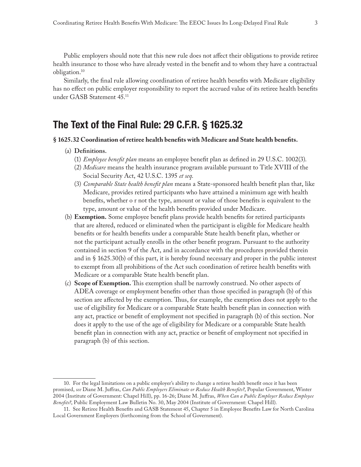Public employers should note that this new rule does not affect their obligations to provide retiree health insurance to those who have already vested in the benefit and to whom they have a contractual obligation.10

Similarly, the final rule allowing coordination of retiree health benefits with Medicare eligibility has no effect on public employer responsibility to report the accrued value of its retiree health benefits under GASB Statement 45.11

### **The Text of the Final Rule: 29 C.F.R. § 1625.32**

#### **§ 1625.32 Coordination of retiree health benefits with Medicare and State health benefits.**

- (a) **Definitions.**
	- (1) *Employee benefit plan* means an employee benefit plan as defined in 29 U.S.C. 1002(3).
	- (2) *Medicare* means the health insurance program available pursuant to Title XVIII of the Social Security Act, 42 U.S.C. 1395 *et seq*.
	- (3) *Comparable State health benefit plan* means a State-sponsored health benefit plan that, like Medicare, provides retired participants who have attained a minimum age with health benefits, whether o r not the type, amount or value of those benefits is equivalent to the type, amount or value of the health benefits provided under Medicare.
- (b) **Exemption.** Some employee benefit plans provide health benefits for retired participants that are altered, reduced or eliminated when the participant is eligible for Medicare health benefits or for health benefits under a comparable State health benefit plan, whether or not the participant actually enrolls in the other benefit program. Pursuant to the authority contained in section 9 of the Act, and in accordance with the procedures provided therein and in § 1625.30(b) of this part, it is hereby found necessary and proper in the public interest to exempt from all prohibitions of the Act such coordination of retiree health benefits with Medicare or a comparable State health benefit plan.
- (c) **Scope of Exemption.** This exemption shall be narrowly construed. No other aspects of ADEA coverage or employment benefits other than those specified in paragraph (b) of this section are affected by the exemption. Thus, for example, the exemption does not apply to the use of eligibility for Medicare or a comparable State health benefit plan in connection with any act, practice or benefit of employment not specified in paragraph (b) of this section. Nor does it apply to the use of the age of eligibility for Medicare or a comparable State health benefit plan in connection with any act, practice or benefit of employment not specified in paragraph (b) of this section.

<sup>10.</sup> For the legal limitations on a public employer's ability to change a retiree health benefit once it has been promised, *see* Diane M. Juffras, *Can Public Employers Eliminate or Reduce Health Benefits?*, Popular Government, Winter 2004 (Institute of Government: Chapel Hill), pp. 16-26; Diane M. Juffras, *When Can a Public Employer Reduce Employee Benefits?*, Public Employment Law Bulletin No. 30, May 2004 (Institute of Government: Chapel Hill).

<sup>11.</sup> See Retiree Health Benefits and GASB Statement 45, Chapter 5 in Employee Benefits Law for North Carolina Local Government Employers (forthcoming from the School of Government).